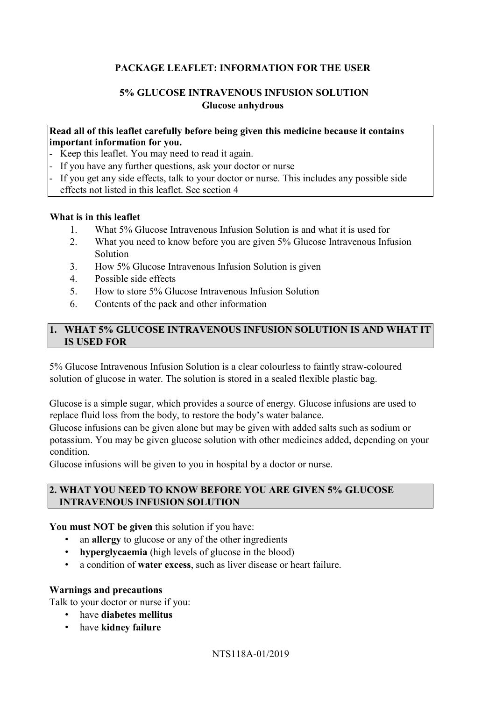# **PACKAGE LEAFLET: INFORMATION FOR THE USER**

## **5% GLUCOSE INTRAVENOUS INFUSION SOLUTION Glucose anhydrous**

#### **Read all of this leaflet carefully before being given this medicine because it contains important information for you.**

- Keep this leaflet. You may need to read it again.
- If you have any further questions, ask your doctor or nurse
- If you get any side effects, talk to your doctor or nurse. This includes any possible side effects not listed in this leaflet. See section 4

#### **What is in this leaflet**

- 1. What 5% Glucose Intravenous Infusion Solution is and what it is used for
- 2. What you need to know before you are given 5% Glucose Intravenous Infusion Solution
- 3. How 5% Glucose Intravenous Infusion Solution is given
- 4. Possible side effects
- 5. How to store 5% Glucose Intravenous Infusion Solution
- 6. Contents of the pack and other information

# **1. WHAT 5% GLUCOSE INTRAVENOUS INFUSION SOLUTION IS AND WHAT IT IS USED FOR**

5% Glucose Intravenous Infusion Solution is a clear colourless to faintly straw-coloured solution of glucose in water. The solution is stored in a sealed flexible plastic bag.

Glucose is a simple sugar, which provides a source of energy. Glucose infusions are used to replace fluid loss from the body, to restore the body's water balance.

Glucose infusions can be given alone but may be given with added salts such as sodium or potassium. You may be given glucose solution with other medicines added, depending on your condition.

Glucose infusions will be given to you in hospital by a doctor or nurse.

## **2. WHAT YOU NEED TO KNOW BEFORE YOU ARE GIVEN 5% GLUCOSE INTRAVENOUS INFUSION SOLUTION**

**You must NOT be given** this solution if you have:

- an **allergy** to glucose or any of the other ingredients
- **hyperglycaemia** (high levels of glucose in the blood)
- a condition of **water excess**, such as liver disease or heart failure.

#### **Warnings and precautions**

Talk to your doctor or nurse if you:

- have **diabetes mellitus**
- have **kidney failure**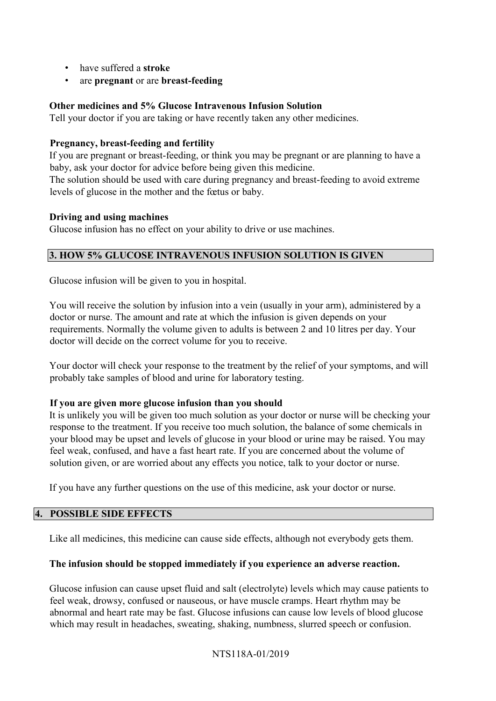- have suffered a **stroke**
- are **pregnant** or are **breast-feeding**

## **Other medicines and 5% Glucose Intravenous Infusion Solution**

Tell your doctor if you are taking or have recently taken any other medicines.

#### **Pregnancy, breast-feeding and fertility**

If you are pregnant or breast-feeding, or think you may be pregnant or are planning to have a baby, ask your doctor for advice before being given this medicine.

The solution should be used with care during pregnancy and breast-feeding to avoid extreme levels of glucose in the mother and the fœtus or baby.

#### **Driving and using machines**

Glucose infusion has no effect on your ability to drive or use machines.

### **3. HOW 5% GLUCOSE INTRAVENOUS INFUSION SOLUTION IS GIVEN**

Glucose infusion will be given to you in hospital.

You will receive the solution by infusion into a vein (usually in your arm), administered by a doctor or nurse. The amount and rate at which the infusion is given depends on your requirements. Normally the volume given to adults is between 2 and 10 litres per day. Your doctor will decide on the correct volume for you to receive.

Your doctor will check your response to the treatment by the relief of your symptoms, and will probably take samples of blood and urine for laboratory testing.

#### **If you are given more glucose infusion than you should**

It is unlikely you will be given too much solution as your doctor or nurse will be checking your response to the treatment. If you receive too much solution, the balance of some chemicals in your blood may be upset and levels of glucose in your blood or urine may be raised. You may feel weak, confused, and have a fast heart rate. If you are concerned about the volume of solution given, or are worried about any effects you notice, talk to your doctor or nurse.

If you have any further questions on the use of this medicine, ask your doctor or nurse.

### **4. POSSIBLE SIDE EFFECTS**

Like all medicines, this medicine can cause side effects, although not everybody gets them.

### **The infusion should be stopped immediately if you experience an adverse reaction.**

Glucose infusion can cause upset fluid and salt (electrolyte) levels which may cause patients to feel weak, drowsy, confused or nauseous, or have muscle cramps. Heart rhythm may be abnormal and heart rate may be fast. Glucose infusions can cause low levels of blood glucose which may result in headaches, sweating, shaking, numbness, slurred speech or confusion.

### NTS118A-01/2019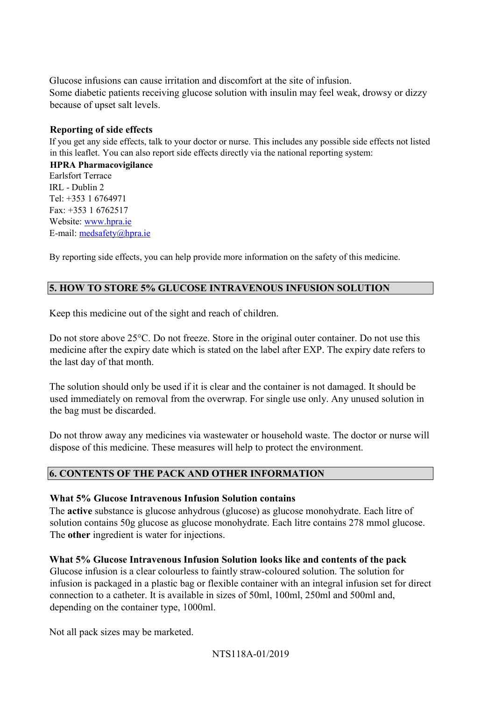Glucose infusions can cause irritation and discomfort at the site of infusion. Some diabetic patients receiving glucose solution with insulin may feel weak, drowsy or dizzy because of upset salt levels.

# **Reporting of side effects**

If you get any side effects, talk to your doctor or nurse. This includes any possible side effects not listed in this leaflet. You can also report side effects directly via the national reporting system:

**HPRA Pharmacovigilance**  Earlsfort Terrace IRL - Dublin 2 Tel: +353 1 6764971 Fax: +353 1 6762517 Website: [www.hpra.ie](http://www.hpra.ie/) E-mail: medsafety@hpra.ie

By reporting side effects, you can help provide more information on the safety of this medicine.

# **5. HOW TO STORE 5% GLUCOSE INTRAVENOUS INFUSION SOLUTION**

Keep this medicine out of the sight and reach of children.

Do not store above 25°C. Do not freeze. Store in the original outer container. Do not use this medicine after the expiry date which is stated on the label after EXP. The expiry date refers to the last day of that month.

The solution should only be used if it is clear and the container is not damaged. It should be used immediately on removal from the overwrap. For single use only. Any unused solution in the bag must be discarded.

Do not throw away any medicines via wastewater or household waste. The doctor or nurse will dispose of this medicine. These measures will help to protect the environment.

### **6. CONTENTS OF THE PACK AND OTHER INFORMATION**

### **What 5% Glucose Intravenous Infusion Solution contains**

The **active** substance is glucose anhydrous (glucose) as glucose monohydrate. Each litre of solution contains 50g glucose as glucose monohydrate. Each litre contains 278 mmol glucose. The **other** ingredient is water for injections.

### **What 5% Glucose Intravenous Infusion Solution looks like and contents of the pack**

Glucose infusion is a clear colourless to faintly straw-coloured solution. The solution for infusion is packaged in a plastic bag or flexible container with an integral infusion set for direct connection to a catheter. It is available in sizes of 50ml, 100ml, 250ml and 500ml and, depending on the container type, 1000ml.

Not all pack sizes may be marketed.